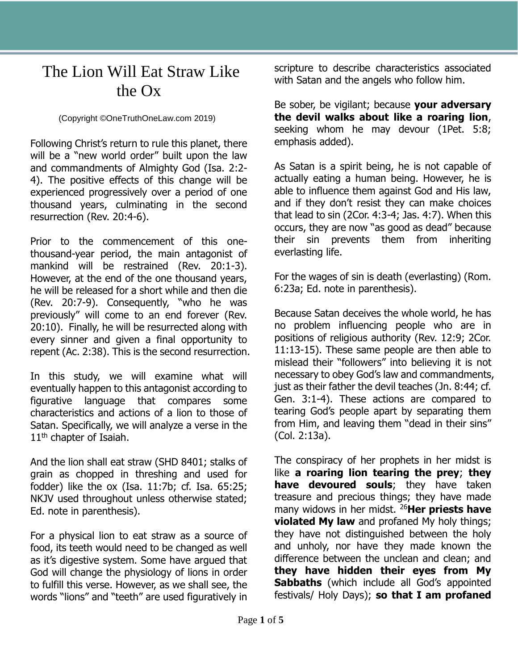## The Lion Will Eat Straw Like the Ox

(Copyright ©OneTruthOneLaw.com 2019)

Following Christ's return to rule this planet, there will be a "new world order" built upon the law and commandments of Almighty God (Isa. 2:2- 4). The positive effects of this change will be experienced progressively over a period of one thousand years, culminating in the second resurrection (Rev. 20:4-6).

Prior to the commencement of this onethousand-year period, the main antagonist of mankind will be restrained (Rev. 20:1-3). However, at the end of the one thousand years, he will be released for a short while and then die (Rev. 20:7-9). Consequently, "who he was previously" will come to an end forever (Rev. 20:10). Finally, he will be resurrected along with every sinner and given a final opportunity to repent (Ac. 2:38). This is the second resurrection.

In this study, we will examine what will eventually happen to this antagonist according to figurative language that compares some characteristics and actions of a lion to those of Satan. Specifically, we will analyze a verse in the  $11<sup>th</sup>$  chapter of Isaiah.

And the lion shall eat straw (SHD 8401; stalks of grain as chopped in threshing and used for fodder) like the ox (Isa. 11:7b; cf. Isa. 65:25; NKJV used throughout unless otherwise stated; Ed. note in parenthesis).

For a physical lion to eat straw as a source of food, its teeth would need to be changed as well as it's digestive system. Some have argued that God will change the physiology of lions in order to fulfill this verse. However, as we shall see, the words "lions" and "teeth" are used figuratively in scripture to describe characteristics associated with Satan and the angels who follow him.

Be sober, be vigilant; because **your adversary the devil walks about like a roaring lion**, seeking whom he may devour (1Pet. 5:8; emphasis added).

As Satan is a spirit being, he is not capable of actually eating a human being. However, he is able to influence them against God and His law, and if they don't resist they can make choices that lead to sin (2Cor. 4:3-4; Jas. 4:7). When this occurs, they are now "as good as dead" because their sin prevents them from inheriting everlasting life.

For the wages of sin is death (everlasting) (Rom. 6:23a; Ed. note in parenthesis).

Because Satan deceives the whole world, he has no problem influencing people who are in positions of religious authority (Rev. 12:9; 2Cor. 11:13-15). These same people are then able to mislead their "followers" into believing it is not necessary to obey God's law and commandments, just as their father the devil teaches (Jn. 8:44; cf. Gen. 3:1-4). These actions are compared to tearing God's people apart by separating them from Him, and leaving them "dead in their sins" (Col. 2:13a).

The conspiracy of her prophets in her midst is like **a roaring lion tearing the prey**; **they have devoured souls**; they have taken treasure and precious things; they have made many widows in her midst. <sup>26</sup>**Her priests have violated My law** and profaned My holy things; they have not distinguished between the holy and unholy, nor have they made known the difference between the unclean and clean; and **they have hidden their eyes from My Sabbaths** (which include all God's appointed festivals/ Holy Days); **so that I am profaned**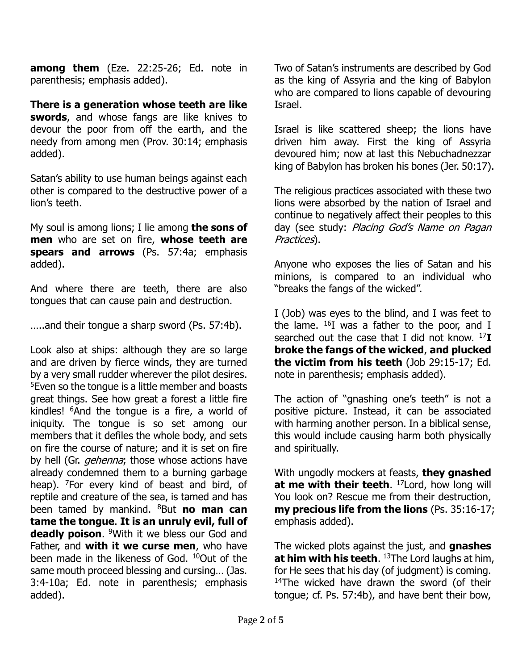**among them** (Eze. 22:25-26; Ed. note in parenthesis; emphasis added).

**There is a generation whose teeth are like swords**, and whose fangs are like knives to devour the poor from off the earth, and the needy from among men (Prov. 30:14; emphasis added).

Satan's ability to use human beings against each other is compared to the destructive power of a lion's teeth.

My soul is among lions; I lie among **the sons of men** who are set on fire, **whose teeth are spears and arrows** (Ps. 57:4a; emphasis added).

And where there are teeth, there are also tongues that can cause pain and destruction.

…..and their tongue a sharp sword (Ps. 57:4b).

Look also at ships: although they are so large and are driven by fierce winds, they are turned by a very small rudder wherever the pilot desires. <sup>5</sup>Even so the tongue is a little member and boasts great things. See how great a forest a little fire kindles! <sup>6</sup>And the tongue is a fire, a world of iniquity. The tongue is so set among our members that it defiles the whole body, and sets on fire the course of nature; and it is set on fire by hell (Gr. *gehenna*; those whose actions have already condemned them to a burning garbage heap). <sup>7</sup>For every kind of beast and bird, of reptile and creature of the sea, is tamed and has been tamed by mankind. <sup>8</sup>But **no man can tame the tongue**. **It is an unruly evil, full of deadly poison**. <sup>9</sup>With it we bless our God and Father, and **with it we curse men**, who have been made in the likeness of God. <sup>10</sup>Out of the same mouth proceed blessing and cursing… (Jas. 3:4-10a; Ed. note in parenthesis; emphasis added).

Two of Satan's instruments are described by God as the king of Assyria and the king of Babylon who are compared to lions capable of devouring Israel.

Israel is like scattered sheep; the lions have driven him away. First the king of Assyria devoured him; now at last this Nebuchadnezzar king of Babylon has broken his bones (Jer. 50:17).

The religious practices associated with these two lions were absorbed by the nation of Israel and continue to negatively affect their peoples to this day (see study: Placing God's Name on Pagan Practices).

Anyone who exposes the lies of Satan and his minions, is compared to an individual who "breaks the fangs of the wicked".

I (Job) was eyes to the blind, and I was feet to the lame.  $^{16}I$  was a father to the poor, and I searched out the case that I did not know. <sup>17</sup>**I broke the fangs of the wicked**, **and plucked the victim from his teeth** (Job 29:15-17; Ed. note in parenthesis; emphasis added).

The action of "gnashing one's teeth" is not a positive picture. Instead, it can be associated with harming another person. In a biblical sense, this would include causing harm both physically and spiritually.

With ungodly mockers at feasts, **they gnashed at me with their teeth**. <sup>17</sup>Lord, how long will You look on? Rescue me from their destruction, **my precious life from the lions** (Ps. 35:16-17; emphasis added).

The wicked plots against the just, and **gnashes at him with his teeth**. <sup>13</sup>The Lord laughs at him, for He sees that his day (of judgment) is coming. <sup>14</sup>The wicked have drawn the sword (of their tongue; cf. Ps. 57:4b), and have bent their bow,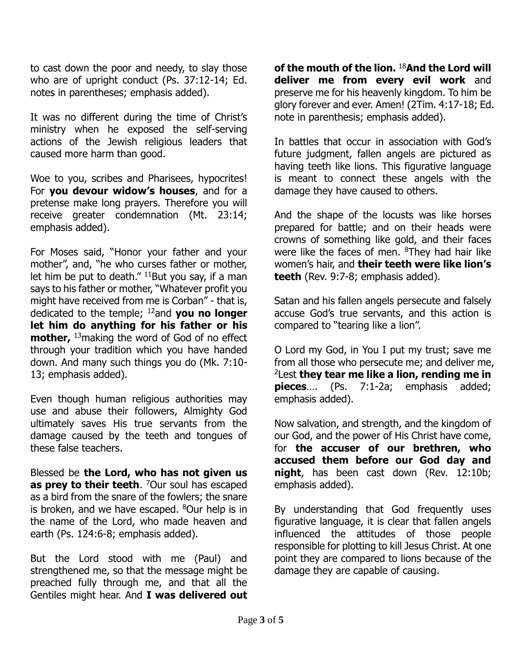to cast down the poor and needy, to slay those who are of upright conduct (Ps. 37:12-14; Ed. notes in parentheses; emphasis added).

It was no different during the time of Christ's ministry when he exposed the self-serving actions of the Jewish religious leaders that caused more harm than good.

Woe to you, scribes and Pharisees, hypocrites! For **you devour widow's houses**, and for a pretense make long prayers. Therefore you will receive greater condemnation (Mt. 23:14; emphasis added).

For Moses said, "Honor your father and your mother", and, "he who curses father or mother, let him be put to death."  $11$ But you say, if a man says to his father or mother, "Whatever profit you might have received from me is Corban" - that is, dedicated to the temple; <sup>12</sup>and **you no longer let him do anything for his father or his mother,** <sup>13</sup>making the word of God of no effect through your tradition which you have handed down. And many such things you do (Mk. 7:10- 13; emphasis added).

Even though human religious authorities may use and abuse their followers, Almighty God ultimately saves His true servants from the damage caused by the teeth and tongues of these false teachers.

Blessed be **the Lord, who has not given us as prey to their teeth**. <sup>7</sup>Our soul has escaped as a bird from the snare of the fowlers; the snare is broken, and we have escaped.  $8$ Our help is in the name of the Lord, who made heaven and earth (Ps. 124:6-8; emphasis added).

But the Lord stood with me (Paul) and strengthened me, so that the message might be preached fully through me, and that all the Gentiles might hear. And **I was delivered out**  **of the mouth of the lion.** <sup>18</sup>**And the Lord will deliver me from every evil work** and preserve me for his heavenly kingdom. To him be glory forever and ever. Amen! (2Tim. 4:17-18; Ed. note in parenthesis; emphasis added).

In battles that occur in association with God's future judgment, fallen angels are pictured as having teeth like lions. This figurative language is meant to connect these angels with the damage they have caused to others.

And the shape of the locusts was like horses prepared for battle; and on their heads were crowns of something like gold, and their faces were like the faces of men. <sup>8</sup>They had hair like women's hair, and **their teeth were like lion's teeth** (Rev. 9:7-8; emphasis added).

Satan and his fallen angels persecute and falsely accuse God's true servants, and this action is compared to "tearing like a lion".

O Lord my God, in You I put my trust; save me from all those who persecute me; and deliver me, <sup>2</sup>Lest **they tear me like a lion, rending me in pieces**…. (Ps. 7:1-2a; emphasis added; emphasis added).

Now salvation, and strength, and the kingdom of our God, and the power of His Christ have come, for **the accuser of our brethren, who accused them before our God day and night**, has been cast down (Rev. 12:10b; emphasis added).

By understanding that God frequently uses figurative language, it is clear that fallen angels influenced the attitudes of those people responsible for plotting to kill Jesus Christ. At one point they are compared to lions because of the damage they are capable of causing.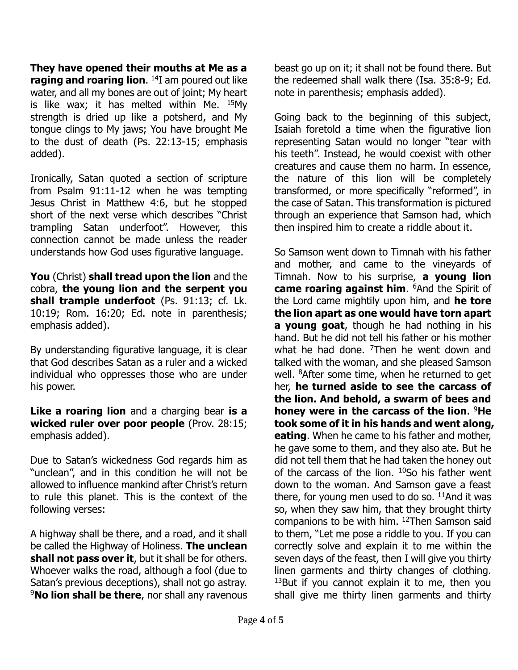**They have opened their mouths at Me as a raging and roaring lion**. <sup>14</sup>I am poured out like water, and all my bones are out of joint; My heart is like wax; it has melted within Me. <sup>15</sup>My strength is dried up like a potsherd, and My tongue clings to My jaws; You have brought Me to the dust of death (Ps. 22:13-15; emphasis added).

Ironically, Satan quoted a section of scripture from Psalm 91:11-12 when he was tempting Jesus Christ in Matthew 4:6, but he stopped short of the next verse which describes "Christ trampling Satan underfoot". However, this connection cannot be made unless the reader understands how God uses figurative language.

**You** (Christ) **shall tread upon the lion** and the cobra, **the young lion and the serpent you shall trample underfoot** (Ps. 91:13; cf. Lk. 10:19; Rom. 16:20; Ed. note in parenthesis; emphasis added).

By understanding figurative language, it is clear that God describes Satan as a ruler and a wicked individual who oppresses those who are under his power.

**Like a roaring lion** and a charging bear **is a wicked ruler over poor people** (Prov. 28:15; emphasis added).

Due to Satan's wickedness God regards him as "unclean", and in this condition he will not be allowed to influence mankind after Christ's return to rule this planet. This is the context of the following verses:

A highway shall be there, and a road, and it shall be called the Highway of Holiness. **The unclean shall not pass over it**, but it shall be for others. Whoever walks the road, although a fool (due to Satan's previous deceptions), shall not go astray. <sup>9</sup>**No lion shall be there**, nor shall any ravenous beast go up on it; it shall not be found there. But the redeemed shall walk there (Isa. 35:8-9; Ed. note in parenthesis; emphasis added).

Going back to the beginning of this subject, Isaiah foretold a time when the figurative lion representing Satan would no longer "tear with his teeth". Instead, he would coexist with other creatures and cause them no harm. In essence, the nature of this lion will be completely transformed, or more specifically "reformed", in the case of Satan. This transformation is pictured through an experience that Samson had, which then inspired him to create a riddle about it.

So Samson went down to Timnah with his father and mother, and came to the vineyards of Timnah. Now to his surprise, **a young lion came roaring against him**. <sup>6</sup>And the Spirit of the Lord came mightily upon him, and **he tore the lion apart as one would have torn apart a young goat**, though he had nothing in his hand. But he did not tell his father or his mother what he had done.  $7$ Then he went down and talked with the woman, and she pleased Samson well. <sup>8</sup>After some time, when he returned to get her, **he turned aside to see the carcass of the lion. And behold, a swarm of bees and honey were in the carcass of the lion**. <sup>9</sup>**He took some of it in his hands and went along, eating**. When he came to his father and mother, he gave some to them, and they also ate. But he did not tell them that he had taken the honey out of the carcass of the lion.  $10$ So his father went down to the woman. And Samson gave a feast there, for young men used to do so.  $11$ And it was so, when they saw him, that they brought thirty companions to be with him. <sup>12</sup>Then Samson said to them, "Let me pose a riddle to you. If you can correctly solve and explain it to me within the seven days of the feast, then I will give you thirty linen garments and thirty changes of clothing.  $13$ But if you cannot explain it to me, then you shall give me thirty linen garments and thirty